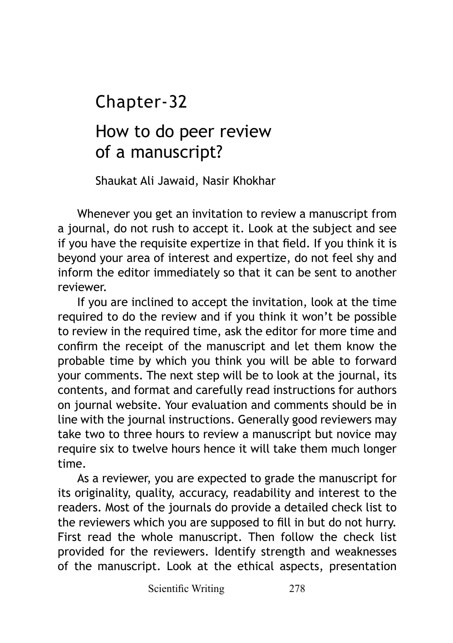Chapter-32

# How to do peer review of a manuscript?

Shaukat Ali Jawaid, Nasir Khokhar

Whenever you get an invitation to review a manuscript from a journal, do not rush to accept it. Look at the subject and see if you have the requisite expertize in that field. If you think it is beyond your area of interest and expertize, do not feel shy and inform the editor immediately so that it can be sent to another reviewer.

If you are inclined to accept the invitation, look at the time required to do the review and if you think it won't be possible to review in the required time, ask the editor for more time and confirm the receipt of the manuscript and let them know the probable time by which you think you will be able to forward your comments. The next step will be to look at the journal, its contents, and format and carefully read instructions for authors on journal website. Your evaluation and comments should be in line with the journal instructions. Generally good reviewers may take two to three hours to review a manuscript but novice may require six to twelve hours hence it will take them much longer time.

As a reviewer, you are expected to grade the manuscript for its originality, quality, accuracy, readability and interest to the readers. Most of the journals do provide a detailed check list to the reviewers which you are supposed to fill in but do not hurry. First read the whole manuscript. Then follow the check list provided for the reviewers. Identify strength and weaknesses of the manuscript. Look at the ethical aspects, presentation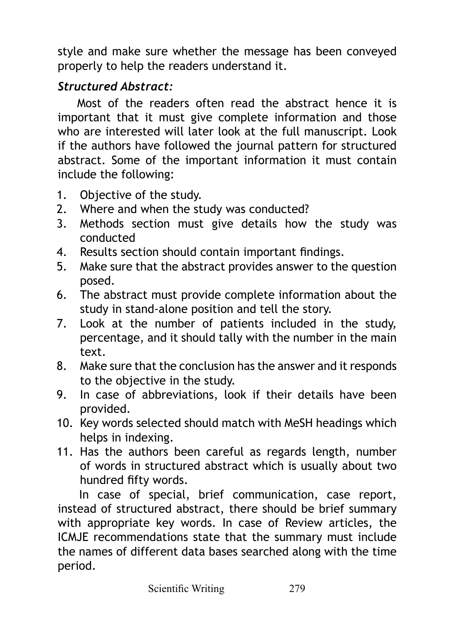style and make sure whether the message has been conveyed properly to help the readers understand it.

# *Structured Abstract:*

Most of the readers often read the abstract hence it is important that it must give complete information and those who are interested will later look at the full manuscript. Look if the authors have followed the journal pattern for structured abstract. Some of the important information it must contain include the following:

- 1. Objective of the study.
- 2. Where and when the study was conducted?
- 3. Methods section must give details how the study was conducted
- 4. Results section should contain important findings.
- 5. Make sure that the abstract provides answer to the question posed.
- 6. The abstract must provide complete information about the study in stand-alone position and tell the story.
- 7. Look at the number of patients included in the study, percentage, and it should tally with the number in the main text.
- 8. Make sure that the conclusion has the answer and it responds to the objective in the study.
- 9. In case of abbreviations, look if their details have been provided.
- 10. Key words selected should match with MeSH headings which helps in indexing.
- 11. Has the authors been careful as regards length, number of words in structured abstract which is usually about two hundred fifty words.

In case of special, brief communication, case report, instead of structured abstract, there should be brief summary with appropriate key words. In case of Review articles, the ICMJE recommendations state that the summary must include the names of different data bases searched along with the time period.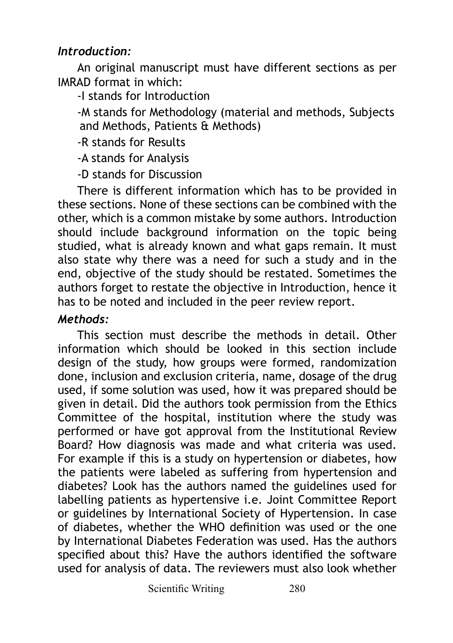## *Introduction:*

An original manuscript must have different sections as per IMRAD format in which:

-I stands for Introduction

-M stands for Methodology (material and methods, Subjects and Methods, Patients & Methods)

-R stands for Results

-A stands for Analysis

-D stands for Discussion

There is different information which has to be provided in these sections. None of these sections can be combined with the other, which is a common mistake by some authors. Introduction should include background information on the topic being studied, what is already known and what gaps remain. It must also state why there was a need for such a study and in the end, objective of the study should be restated. Sometimes the authors forget to restate the objective in Introduction, hence it has to be noted and included in the peer review report.

### *Methods:*

This section must describe the methods in detail. Other information which should be looked in this section include design of the study, how groups were formed, randomization done, inclusion and exclusion criteria, name, dosage of the drug used, if some solution was used, how it was prepared should be given in detail. Did the authors took permission from the Ethics Committee of the hospital, institution where the study was performed or have got approval from the Institutional Review Board? How diagnosis was made and what criteria was used. For example if this is a study on hypertension or diabetes, how the patients were labeled as suffering from hypertension and diabetes? Look has the authors named the guidelines used for labelling patients as hypertensive i.e. Joint Committee Report or guidelines by International Society of Hypertension. In case of diabetes, whether the WHO definition was used or the one by International Diabetes Federation was used. Has the authors specified about this? Have the authors identified the software used for analysis of data. The reviewers must also look whether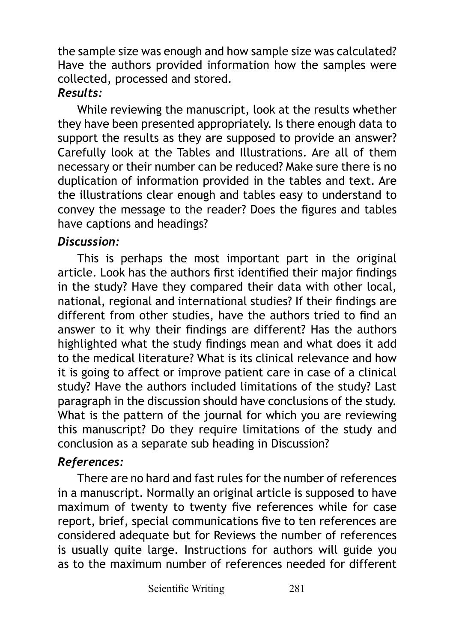the sample size was enough and how sample size was calculated? Have the authors provided information how the samples were collected, processed and stored.

## *Results:*

While reviewing the manuscript, look at the results whether they have been presented appropriately. Is there enough data to support the results as they are supposed to provide an answer? Carefully look at the Tables and Illustrations. Are all of them necessary or their number can be reduced? Make sure there is no duplication of information provided in the tables and text. Are the illustrations clear enough and tables easy to understand to convey the message to the reader? Does the figures and tables have captions and headings?

# *Discussion:*

This is perhaps the most important part in the original article. Look has the authors first identified their major findings in the study? Have they compared their data with other local, national, regional and international studies? If their findings are different from other studies, have the authors tried to find an answer to it why their findings are different? Has the authors highlighted what the study findings mean and what does it add to the medical literature? What is its clinical relevance and how it is going to affect or improve patient care in case of a clinical study? Have the authors included limitations of the study? Last paragraph in the discussion should have conclusions of the study. What is the pattern of the journal for which you are reviewing this manuscript? Do they require limitations of the study and conclusion as a separate sub heading in Discussion?

# *References:*

There are no hard and fast rules for the number of references in a manuscript. Normally an original article is supposed to have maximum of twenty to twenty five references while for case report, brief, special communications five to ten references are considered adequate but for Reviews the number of references is usually quite large. Instructions for authors will guide you as to the maximum number of references needed for different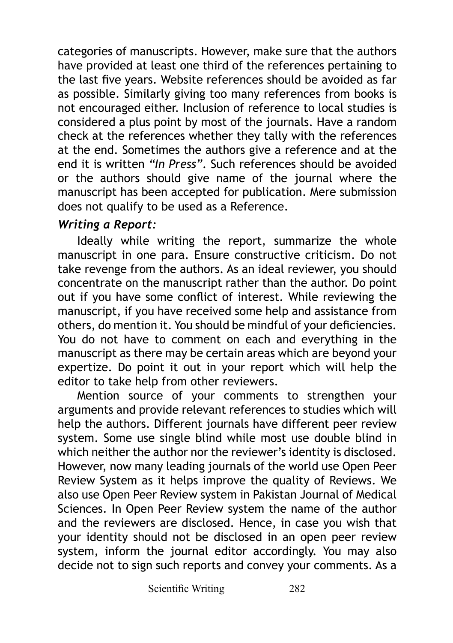categories of manuscripts. However, make sure that the authors have provided at least one third of the references pertaining to the last five years. Website references should be avoided as far as possible. Similarly giving too many references from books is not encouraged either. Inclusion of reference to local studies is considered a plus point by most of the journals. Have a random check at the references whether they tally with the references at the end. Sometimes the authors give a reference and at the end it is written *"In Press"*. Such references should be avoided or the authors should give name of the journal where the manuscript has been accepted for publication. Mere submission does not qualify to be used as a Reference.

## *Writing a Report:*

Ideally while writing the report, summarize the whole manuscript in one para. Ensure constructive criticism. Do not take revenge from the authors. As an ideal reviewer, you should concentrate on the manuscript rather than the author. Do point out if you have some conflict of interest. While reviewing the manuscript, if you have received some help and assistance from others, do mention it. You should be mindful of your deficiencies. You do not have to comment on each and everything in the manuscript as there may be certain areas which are beyond your expertize. Do point it out in your report which will help the editor to take help from other reviewers.

Mention source of your comments to strengthen your arguments and provide relevant references to studies which will help the authors. Different journals have different peer review system. Some use single blind while most use double blind in which neither the author nor the reviewer's identity is disclosed. However, now many leading journals of the world use Open Peer Review System as it helps improve the quality of Reviews. We also use Open Peer Review system in Pakistan Journal of Medical Sciences. In Open Peer Review system the name of the author and the reviewers are disclosed. Hence, in case you wish that your identity should not be disclosed in an open peer review system, inform the journal editor accordingly. You may also decide not to sign such reports and convey your comments. As a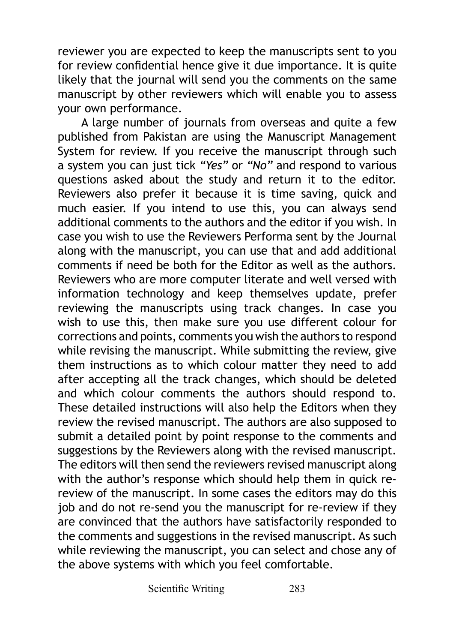reviewer you are expected to keep the manuscripts sent to you for review confidential hence give it due importance. It is quite likely that the journal will send you the comments on the same manuscript by other reviewers which will enable you to assess your own performance.

 A large number of journals from overseas and quite a few published from Pakistan are using the Manuscript Management System for review. If you receive the manuscript through such a system you can just tick *"Yes"* or *"No"* and respond to various questions asked about the study and return it to the editor. Reviewers also prefer it because it is time saving, quick and much easier. If you intend to use this, you can always send additional comments to the authors and the editor if you wish. In case you wish to use the Reviewers Performa sent by the Journal along with the manuscript, you can use that and add additional comments if need be both for the Editor as well as the authors. Reviewers who are more computer literate and well versed with information technology and keep themselves update, prefer reviewing the manuscripts using track changes. In case you wish to use this, then make sure you use different colour for corrections and points, comments you wish the authors to respond while revising the manuscript. While submitting the review, give them instructions as to which colour matter they need to add after accepting all the track changes, which should be deleted and which colour comments the authors should respond to. These detailed instructions will also help the Editors when they review the revised manuscript. The authors are also supposed to submit a detailed point by point response to the comments and suggestions by the Reviewers along with the revised manuscript. The editors will then send the reviewers revised manuscript along with the author's response which should help them in quick rereview of the manuscript. In some cases the editors may do this job and do not re-send you the manuscript for re-review if they are convinced that the authors have satisfactorily responded to the comments and suggestions in the revised manuscript. As such while reviewing the manuscript, you can select and chose any of the above systems with which you feel comfortable.